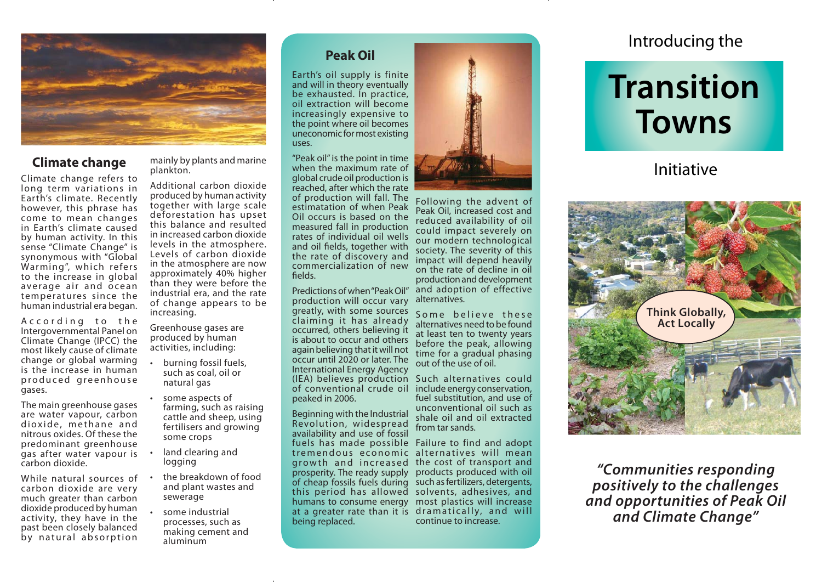

### **Climate change**

Climate change refers to long term variations in Earth's climate. Recently however, this phrase has come to mean changes in Earth's climate caused by human activity. In this sense "Climate Change" is synonymous with "Global Warming", which refers to the increase in global average air and ocean temperatures since the human industrial era began.

A c c or ding to the Intergovernmental Panel on Climate Change (IPCC) the most likely cause of climate change or global warming is the increase in human produced greenhouse gases.

The main greenhouse gases are water vapour, carbon dioxide, methane and nitrous oxides. Of these the predominant greenhouse gas after water vapour is carbon dioxide.

While natural sources of carbon dioxide are very much greater than carbon dioxide produced by human activity, they have in the past been closely balanced by natural absorption

mainly by plants and marine plankton.

Additional carbon dioxide produced by human activity together with large scale deforestation has upset this balance and resulted in increased carbon dioxide levels in the atmosphere. Levels of carbon dioxide in the atmosphere are now approximately 40% higher than they were before the industrial era, and the rate of change appears to be increasing.

Greenhouse gases are produced by human activities, including:

- burning fossil fuels, such as coal, oil or natural gas
- some aspects of farming, such as raising cattle and sheep, using fertilisers and growing some crops
- land clearing and logging
- the breakdown of food and plant wastes and sewerage
- some industrial processes, such as making cement and aluminum

Earth's oil supply is finite and will in theory eventually be exhausted. In practice, oil extraction will become increasingly expensive to the point where oil becomes uneconomic for most existing uses.

"Peak oil" is the point in time when the maximum rate of global crude oil production is reached, after which the rate of production will fall. The estimatation of when Peak Oil occurs is based on the measured fall in production rates of individual oil wells and oil fields, together with the rate of discovery and commercialization of new fields.

Predictions of when "Peak Oil" production will occur vary greatly, with some sources claiming it has already occurred, others believing it is about to occur and others again believing that it will not occur until 2020 or later. The International Energy Agency (IEA) believes production Such alternatives could of conventional crude oil peaked in 2006.

Beginning with the Industrial Revolution, widespread availability and use of fossil fuels has made possible Failure to find and adopt tremendous economic alternatives will mean growth and increased the cost of transport and prosperity. The ready supply products produced with oil of cheap fossils fuels during such as fertilizers, detergents, this period has allowed solvents, adhesives, and humans to consume energy most plastics will increase at a greater rate than it is dramatically, and will being replaced.



Following the advent of Peak Oil, increased cost and reduced availability of oil could impact severely on our modern technological society. The severity of this impact will depend heavily on the rate of decline in oil production and development and adoption of effective alternatives.

Some believe these alternatives need to be found at least ten to twenty years before the peak, allowing time for a gradual phasing out of the use of oil.

include energy conservation, fuel substitution, and use of unconventional oil such as shale oil and oil extracted from tar sands.

continue to increase.

# **TransitionTowns**

## Initiative



*"Communities responding positively to the challenges and opportunities of Peak Oil and Climate Change"*